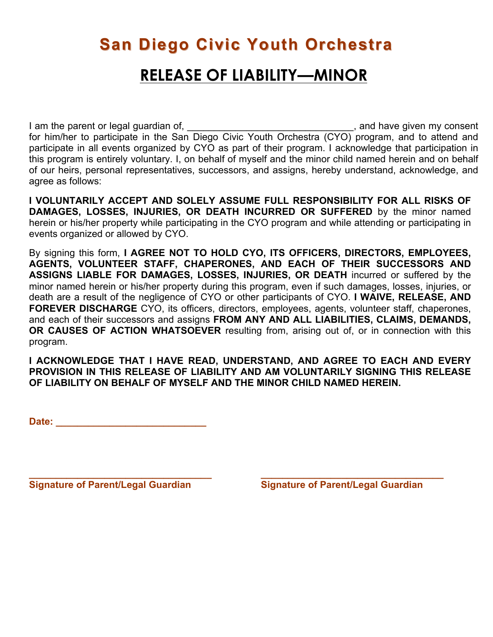# **San Diego Civic Youth Orchestra RELEASE OF LIABILITY—MINOR**

I am the parent or legal guardian of, \_\_\_\_\_\_\_\_\_\_\_\_\_\_\_\_\_\_\_\_\_\_\_\_\_\_\_\_\_\_\_\_\_, and have given my consent for him/her to participate in the San Diego Civic Youth Orchestra (CYO) program, and to attend and participate in all events organized by CYO as part of their program. I acknowledge that participation in this program is entirely voluntary. I, on behalf of myself and the minor child named herein and on behalf of our heirs, personal representatives, successors, and assigns, hereby understand, acknowledge, and agree as follows:

**I VOLUNTARILY ACCEPT AND SOLELY ASSUME FULL RESPONSIBILITY FOR ALL RISKS OF DAMAGES, LOSSES, INJURIES, OR DEATH INCURRED OR SUFFERED** by the minor named herein or his/her property while participating in the CYO program and while attending or participating in events organized or allowed by CYO.

By signing this form, **I AGREE NOT TO HOLD CYO, ITS OFFICERS, DIRECTORS, EMPLOYEES, AGENTS, VOLUNTEER STAFF, CHAPERONES, AND EACH OF THEIR SUCCESSORS AND ASSIGNS LIABLE FOR DAMAGES, LOSSES, INJURIES, OR DEATH** incurred or suffered by the minor named herein or his/her property during this program, even if such damages, losses, injuries, or death are a result of the negligence of CYO or other participants of CYO. **I WAIVE, RELEASE, AND FOREVER DISCHARGE** CYO, its officers, directors, employees, agents, volunteer staff, chaperones, and each of their successors and assigns **FROM ANY AND ALL LIABILITIES, CLAIMS, DEMANDS, OR CAUSES OF ACTION WHATSOEVER** resulting from, arising out of, or in connection with this program.

**I ACKNOWLEDGE THAT I HAVE READ, UNDERSTAND, AND AGREE TO EACH AND EVERY PROVISION IN THIS RELEASE OF LIABILITY AND AM VOLUNTARILY SIGNING THIS RELEASE OF LIABILITY ON BEHALF OF MYSELF AND THE MINOR CHILD NAMED HEREIN.** 

**Date: \_\_\_\_\_\_\_\_\_\_\_\_\_\_\_\_\_\_\_\_\_\_\_\_\_\_\_\_**

**\_\_\_\_\_\_\_\_\_\_\_\_\_\_\_\_\_\_\_\_\_\_\_\_\_\_\_\_\_\_\_\_\_\_ \_\_\_\_\_\_\_\_\_\_\_\_\_\_\_\_\_\_\_\_\_\_\_\_\_\_\_\_\_\_\_\_\_\_ Signature of Parent/Legal Guardian Signature of Parent/Legal Guardian**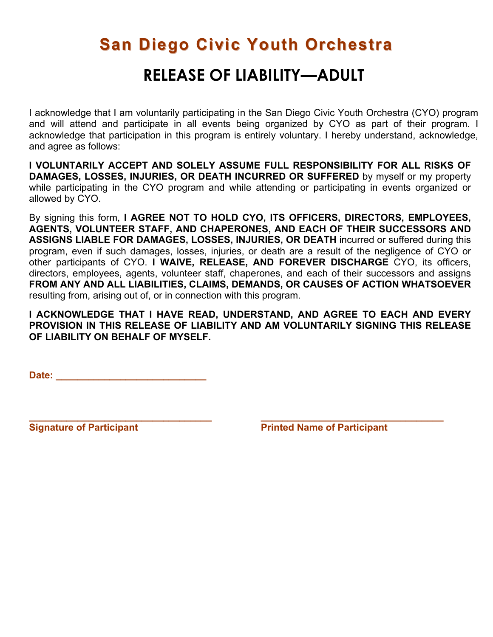## **San Diego Civic Youth Orchestra**

#### **RELEASE OF LIABILITY—ADULT**

I acknowledge that I am voluntarily participating in the San Diego Civic Youth Orchestra (CYO) program and will attend and participate in all events being organized by CYO as part of their program. I acknowledge that participation in this program is entirely voluntary. I hereby understand, acknowledge, and agree as follows:

**I VOLUNTARILY ACCEPT AND SOLELY ASSUME FULL RESPONSIBILITY FOR ALL RISKS OF DAMAGES, LOSSES, INJURIES, OR DEATH INCURRED OR SUFFERED** by myself or my property while participating in the CYO program and while attending or participating in events organized or allowed by CYO.

By signing this form, **I AGREE NOT TO HOLD CYO, ITS OFFICERS, DIRECTORS, EMPLOYEES, AGENTS, VOLUNTEER STAFF, AND CHAPERONES, AND EACH OF THEIR SUCCESSORS AND ASSIGNS LIABLE FOR DAMAGES, LOSSES, INJURIES, OR DEATH** incurred or suffered during this program, even if such damages, losses, injuries, or death are a result of the negligence of CYO or other participants of CYO. **I WAIVE, RELEASE, AND FOREVER DISCHARGE** CYO, its officers, directors, employees, agents, volunteer staff, chaperones, and each of their successors and assigns **FROM ANY AND ALL LIABILITIES, CLAIMS, DEMANDS, OR CAUSES OF ACTION WHATSOEVER**  resulting from, arising out of, or in connection with this program.

**I ACKNOWLEDGE THAT I HAVE READ, UNDERSTAND, AND AGREE TO EACH AND EVERY PROVISION IN THIS RELEASE OF LIABILITY AND AM VOLUNTARILY SIGNING THIS RELEASE OF LIABILITY ON BEHALF OF MYSELF.** 

**\_\_\_\_\_\_\_\_\_\_\_\_\_\_\_\_\_\_\_\_\_\_\_\_\_\_\_\_\_\_\_\_\_\_ \_\_\_\_\_\_\_\_\_\_\_\_\_\_\_\_\_\_\_\_\_\_\_\_\_\_\_\_\_\_\_\_\_\_**

Date: <u>\_\_\_\_\_\_\_\_\_\_\_\_\_\_\_\_\_\_\_\_\_\_\_\_\_\_</u>

**Signature of Participant Community Community Printed Name of Participant**